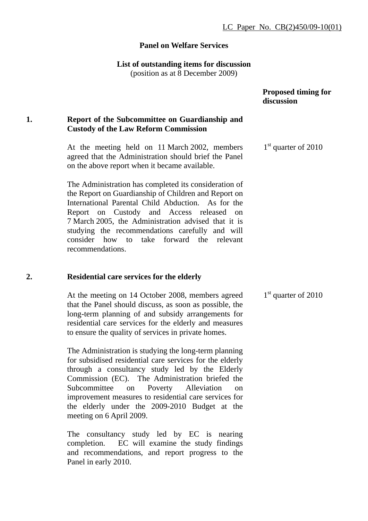## **Panel on Welfare Services**

### **List of outstanding items for discussion**

(position as at 8 December 2009)

|    |                                                                                                                                                                                                                                                                                                                                                                                            | <b>Proposed timing for</b><br>discussion |
|----|--------------------------------------------------------------------------------------------------------------------------------------------------------------------------------------------------------------------------------------------------------------------------------------------------------------------------------------------------------------------------------------------|------------------------------------------|
| 1. | Report of the Subcommittee on Guardianship and<br><b>Custody of the Law Reform Commission</b>                                                                                                                                                                                                                                                                                              |                                          |
|    | At the meeting held on 11 March 2002, members<br>agreed that the Administration should brief the Panel<br>on the above report when it became available.                                                                                                                                                                                                                                    | $1st$ quarter of 2010                    |
|    | The Administration has completed its consideration of<br>the Report on Guardianship of Children and Report on<br>International Parental Child Abduction. As for the<br>Report on Custody and Access released on<br>7 March 2005, the Administration advised that it is<br>studying the recommendations carefully and will<br>consider how to take forward the relevant<br>recommendations. |                                          |
| 2. | <b>Residential care services for the elderly</b>                                                                                                                                                                                                                                                                                                                                           |                                          |
|    |                                                                                                                                                                                                                                                                                                                                                                                            |                                          |

At the meeting on 14 October 2008, members agreed that the Panel should discuss, as soon as possible, the long-term planning of and subsidy arrangements for residential care services for the elderly and measures to ensure the quality of services in private homes. 1<sup>st</sup> quarter of 2010

The Administration is studying the long-term planning for subsidised residential care services for the elderly through a consultancy study led by the Elderly Commission (EC). The Administration briefed the Subcommittee on Poverty Alleviation on improvement measures to residential care services for the elderly under the 2009-2010 Budget at the meeting on 6 April 2009.

The consultancy study led by EC is nearing completion. EC will examine the study findings and recommendations, and report progress to the Panel in early 2010.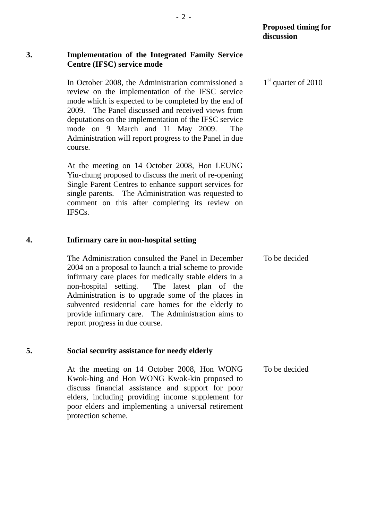## **3. Implementation of the Integrated Family Service Centre (IFSC) service mode**

In October 2008, the Administration commissioned a review on the implementation of the IFSC service mode which is expected to be completed by the end of 2009. The Panel discussed and received views from deputations on the implementation of the IFSC service mode on 9 March and 11 May 2009. The Administration will report progress to the Panel in due course.

At the meeting on 14 October 2008, Hon LEUNG Yiu-chung proposed to discuss the merit of re-opening Single Parent Centres to enhance support services for single parents. The Administration was requested to comment on this after completing its review on IFSCs.

## **4. Infirmary care in non-hospital setting**

The Administration consulted the Panel in December 2004 on a proposal to launch a trial scheme to provide infirmary care places for medically stable elders in a non-hospital setting. The latest plan of the Administration is to upgrade some of the places in subvented residential care homes for the elderly to provide infirmary care. The Administration aims to report progress in due course. To be decided

## **5. Social security assistance for needy elderly**

At the meeting on 14 October 2008, Hon WONG Kwok-hing and Hon WONG Kwok-kin proposed to discuss financial assistance and support for poor elders, including providing income supplement for poor elders and implementing a universal retirement protection scheme. To be decided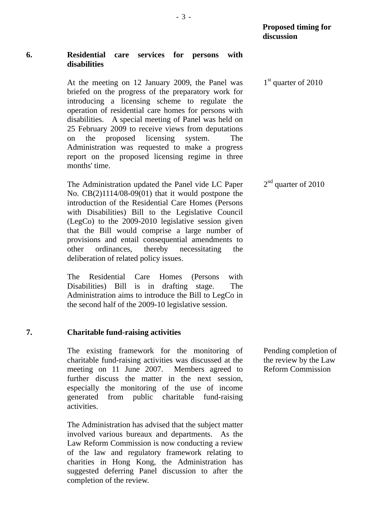## **6. Residential care services for persons with disabilities**

At the meeting on 12 January 2009, the Panel was briefed on the progress of the preparatory work for introducing a licensing scheme to regulate the operation of residential care homes for persons with disabilities. A special meeting of Panel was held on 25 February 2009 to receive views from deputations on the proposed licensing system. The Administration was requested to make a progress report on the proposed licensing regime in three months' time.

The Administration updated the Panel vide LC Paper No. CB(2)1114/08-09(01) that it would postpone the introduction of the Residential Care Homes (Persons with Disabilities) Bill to the Legislative Council (LegCo) to the 2009-2010 legislative session given that the Bill would comprise a large number of provisions and entail consequential amendments to other ordinances, thereby necessitating the deliberation of related policy issues.

The Residential Care Homes (Persons with Disabilities) Bill is in drafting stage. The Administration aims to introduce the Bill to LegCo in the second half of the 2009-10 legislative session.

# **7. Charitable fund-raising activities**

The existing framework for the monitoring of charitable fund-raising activities was discussed at the meeting on 11 June 2007. Members agreed to further discuss the matter in the next session, especially the monitoring of the use of income generated from public charitable fund-raising activities.

The Administration has advised that the subject matter involved various bureaux and departments. As the Law Reform Commission is now conducting a review of the law and regulatory framework relating to charities in Hong Kong, the Administration has suggested deferring Panel discussion to after the completion of the review.

Pending completion of the review by the Law Reform Commission

2<sup>nd</sup> quarter of 2010

1<sup>st</sup> quarter of 2010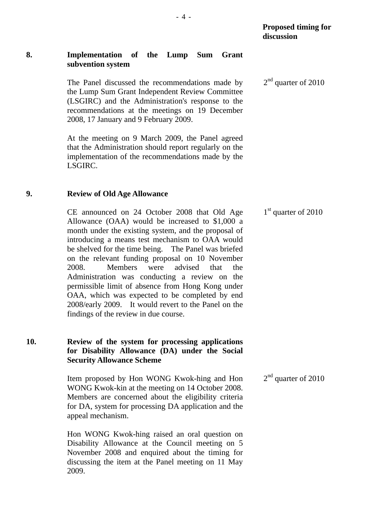## **8. Implementation of the Lump Sum Grant subvention system**

The Panel discussed the recommendations made by the Lump Sum Grant Independent Review Committee (LSGIRC) and the Administration's response to the recommendations at the meetings on 19 December 2008, 17 January and 9 February 2009.

At the meeting on 9 March 2009, the Panel agreed that the Administration should report regularly on the implementation of the recommendations made by the LSGIRC.

## **9. Review of Old Age Allowance**

CE announced on 24 October 2008 that Old Age Allowance (OAA) would be increased to \$1,000 a month under the existing system, and the proposal of introducing a means test mechanism to OAA would be shelved for the time being. The Panel was briefed on the relevant funding proposal on 10 November 2008. Members were advised that the Administration was conducting a review on the permissible limit of absence from Hong Kong under OAA, which was expected to be completed by end 2008/early 2009. It would revert to the Panel on the findings of the review in due course.

# **10. Review of the system for processing applications for Disability Allowance (DA) under the Social Security Allowance Scheme**

Item proposed by Hon WONG Kwok-hing and Hon WONG Kwok-kin at the meeting on 14 October 2008. Members are concerned about the eligibility criteria for DA, system for processing DA application and the appeal mechanism. 2<sup>nd</sup> quarter of 2010

Hon WONG Kwok-hing raised an oral question on Disability Allowance at the Council meeting on 5 November 2008 and enquired about the timing for discussing the item at the Panel meeting on 11 May 2009.

 $1<sup>st</sup>$  quarter of 2010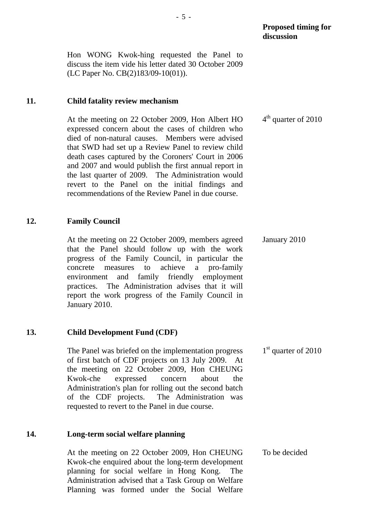Hon WONG Kwok-hing requested the Panel to discuss the item vide his letter dated 30 October 2009 (LC Paper No. CB(2)183/09-10(01)).

## **11. Child fatality review mechanism**

At the meeting on 22 October 2009, Hon Albert HO expressed concern about the cases of children who died of non-natural causes. Members were advised that SWD had set up a Review Panel to review child death cases captured by the Coroners' Court in 2006 and 2007 and would publish the first annual report in the last quarter of 2009. The Administration would revert to the Panel on the initial findings and recommendations of the Review Panel in due course. 4<sup>th</sup> quarter of 2010

## **12. Family Council**

At the meeting on 22 October 2009, members agreed that the Panel should follow up with the work progress of the Family Council, in particular the concrete measures to achieve a pro-family environment and family friendly employment practices. The Administration advises that it will report the work progress of the Family Council in January 2010. January 2010

# **13. Child Development Fund (CDF)**

The Panel was briefed on the implementation progress of first batch of CDF projects on 13 July 2009. At the meeting on 22 October 2009, Hon CHEUNG Kwok-che expressed concern about the Administration's plan for rolling out the second batch of the CDF projects. The Administration was requested to revert to the Panel in due course. 1<sup>st</sup> quarter of 2010

## **14. Long-term social welfare planning**

At the meeting on 22 October 2009, Hon CHEUNG Kwok-che enquired about the long-term development planning for social welfare in Hong Kong. The Administration advised that a Task Group on Welfare Planning was formed under the Social Welfare To be decided